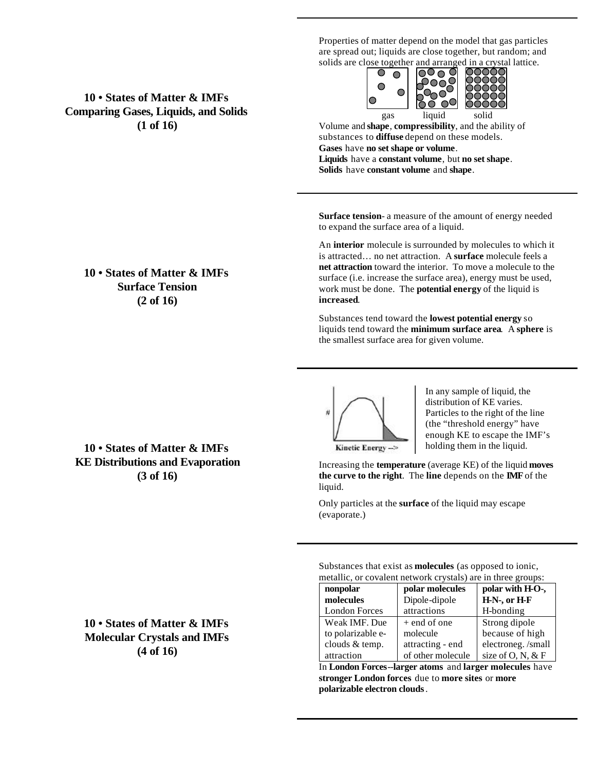Properties of matter depend on the model that gas particles are spread out; liquids are close together, but random; and solids are close together and arranged in a crystal lattice.



Volume and **shape**, **compressibility**, and the ability of substances to **diffuse** depend on these models. **Gases** have **no set shape or volume**. **Liquids** have a **constant volume**, but **no set shape**. **Solids** have **constant volume** and **shape**.

**Surface tension**- a measure of the amount of energy needed to expand the surface area of a liquid.

An **interior** molecule is surrounded by molecules to which it is attracted… no net attraction. A **surface** molecule feels a **net attraction** toward the interior. To move a molecule to the surface (i.e. increase the surface area), energy must be used, work must be done. The **potential energy** of the liquid is **increased**.

Substances tend toward the **lowest potential energy** so liquids tend toward the **minimum surface area**. A **sphere** is the smallest surface area for given volume.



In any sample of liquid, the distribution of KE varies. Particles to the right of the line (the "threshold energy" have enough KE to escape the IMF's holding them in the liquid.

Kinetic Energy->

Increasing the **temperature** (average KE) of the liquid **moves the curve to the right**. The **line** depends on the **IMF** of the liquid.

Only particles at the **surface** of the liquid may escape (evaporate.)

Substances that exist as **molecules** (as opposed to ionic, metallic, or covalent network crystals) are in three groups:

| nonpolar             | polar molecules   | polar with H-O-,     |  |
|----------------------|-------------------|----------------------|--|
| molecules            | Dipole-dipole     | H-N-, or H-F         |  |
| <b>London Forces</b> | attractions       | H-bonding            |  |
| Weak IMF. Due        | $+$ end of one    | Strong dipole        |  |
| to polarizable e-    | molecule          | because of high      |  |
| clouds & temp.       | attracting - end  | electroneg./small    |  |
| attraction           | of other molecule | size of $O, N, \& F$ |  |

In **London Forces**--**larger atoms** and **larger molecules** have **stronger London forces** due to **more sites** or **more polarizable electron clouds**.

**10 • States of Matter & IMFs Comparing Gases, Liquids, and Solids (1 of 16)**

### **10 • States of Matter & IMFs Surface Tension (2 of 16)**

**10 • States of Matter & IMFs KE Distributions and Evaporation (3 of 16)**

**10 • States of Matter & IMFs Molecular Crystals and IMFs (4 of 16)**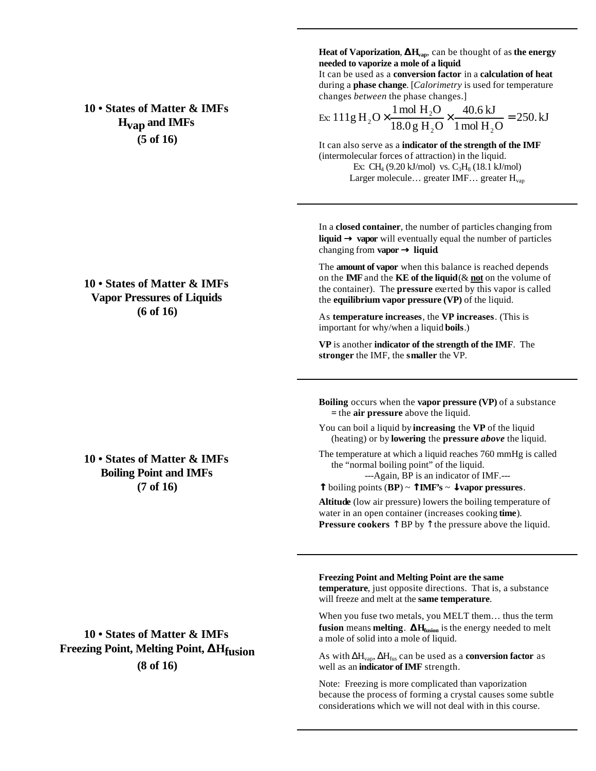**10 • States of Matter & IMFs Hvap and IMFs (5 of 16)**

# **10 • States of Matter & IMFs Vapor Pressures of Liquids (6 of 16)**

**10 • States of Matter & IMFs Boiling Point and IMFs (7 of 16)**

**10 • States of Matter & IMFs Freezing Point, Melting Point, DHfusion (8 of 16)**

**Heat of Vaporization**, **DHvap**, can be thought of as **the energy needed to vaporize a mole of a liquid**.

It can be used as a **conversion factor** in a **calculation of heat** during a **phase change**. [*Calorimetry* is used for temperature changes *between* the phase changes.]

Ex: 111g H<sub>2</sub>O
$$
\times \frac{1 \text{ mol H}_2O}{18.0 \text{ g H}_2O} \times \frac{40.6 \text{ kJ}}{1 \text{ mol H}_2O} = 250 \text{ kJ}
$$

It can also serve as a **indicator of the strength of the IMF** (intermolecular forces of attraction) in the liquid. Ex: CH<sub>4</sub> (9.20 kJ/mol) vs.  $C_3H_8$  (18.1 kJ/mol) Larger molecule... greater IMF... greater H<sub>vap</sub>

In a **closed container**, the number of particles changing from **liquid ® vapor** will eventually equal the number of particles changing from **vapor ® liquid**.

The **amount of vapor** when this balance is reached depends on the **IMF** and the **KE of the liquid** (& **not** on the volume of the container). The **pressure** exerted by this vapor is called the **equilibrium vapor pressure (VP)** of the liquid.

As **temperature increases**, the **VP increases**. (This is important for why/when a liquid **boils**.)

**VP** is another **indicator of the strength of the IMF**. The **stronger** the IMF, the **smaller** the VP.

**Boiling** occurs when the **vapor pressure (VP)** of a substance **=** the **air pressure** above the liquid.

You can boil a liquid by **increasing** the **VP** of the liquid (heating) or by **lowering** the **pressure** *above* the liquid.

The temperature at which a liquid reaches 760 mmHg is called the "normal boiling point" of the liquid.

---Again, BP is an indicator of IMF.---

**-** boiling points (**BP**) ~ **-IMF's** ~ **¯vapor pressures**.

**Altitude** (low air pressure) lowers the boiling temperature of water in an open container (increases cooking **time**). **Pressure cookers** ↑ BP by ↑ the pressure above the liquid.

**Freezing Point and Melting Point are the same temperature**, just opposite directions. That is, a substance will freeze and melt at the **same temperature**.

When you fuse two metals, you MELT them… thus the term **fusion** means **melting**. **DHfusion** is the energy needed to melt a mole of solid into a mole of liquid.

As with ΔHvap, ΔHfus can be used as a **conversion factor** as well as an **indicator of IMF** strength.

Note: Freezing is more complicated than vaporization because the process of forming a crystal causes some subtle considerations which we will not deal with in this course.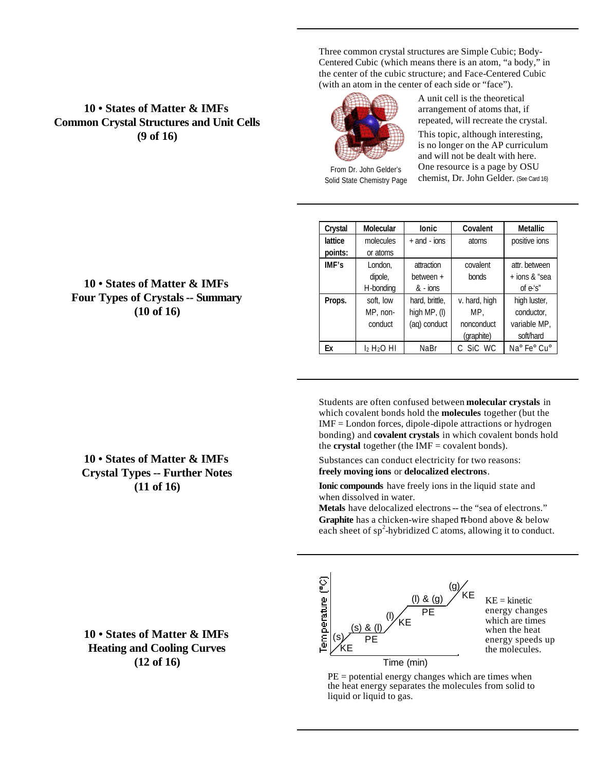**10 • States of Matter & IMFs Common Crystal Structures and Unit Cells (9 of 16)**

Three common crystal structures are Simple Cubic; Body-Centered Cubic (which means there is an atom, "a body," in the center of the cubic structure; and Face-Centered Cubic (with an atom in the center of each side or "face").



From Dr. John Gelder's Solid State Chemistry Page

conduct

A unit cell is the theoretical arrangement of atoms that, if repeated, will recreate the crystal. This topic, although interesting, is no longer on the AP curriculum and will not be dealt with here. One resource is a page by OSU chemist, Dr. John Gelder. (See Card 16)

> nonconduct (graphite)

conductor, variable MP, soft/hard

| Crystal | <b>Molecular</b> | lonic            | Covalent      | <b>Metallic</b> |
|---------|------------------|------------------|---------------|-----------------|
| lattice | molecules        | $+$ and $-$ ions | atoms         | positive ions   |
| points: | or atoms         |                  |               |                 |
| IMF's   | London.          | attraction       | covalent      | attr. between   |
|         | dipole,          | between +        | bonds         | $+$ ions & "sea |
|         | H-bonding        | $& -$ ions       |               | of $e's''$      |
| Props.  | soft, low        | hard, brittle,   | v. hard, high | high luster,    |
|         | MP, non-         | high $MP$ , (I)  | MP.           | conductor,      |

(aq) conduct

**Ex** |  $1_2$  H<sub>2</sub>O HI | NaBr | C SiC WC | Na<sup>o</sup> Fe<sup>o</sup> Cu<sup>o</sup>

Students are often confused between **molecular crystals** in which covalent bonds hold the **molecules** together (but the IMF = London forces, dipole-dipole attractions or hydrogen bonding) and **covalent crystals** in which covalent bonds hold the **crystal** together (the  $IMF = covalent bonds)$ .

Substances can conduct electricity for two reasons: **freely moving ions** or **delocalized electrons**.

**Ionic compounds** have freely ions in the liquid state and when dissolved in water.

**Metals** have delocalized electrons -- the "sea of electrons." **Graphite** has a chicken-wire shaped π-bond above & below each sheet of  $sp^2$ -hybridized C atoms, allowing it to conduct.



 $KE = kinetic$ energy changes which are times when the heat energy speeds up the molecules.

 $PE =$  potential energy changes which are times when the heat energy separates the molecules from solid to liquid or liquid to gas.

# **10 • States of Matter & IMFs Four Types of Crystals -- Summary (10 of 16)**

**10 • States of Matter & IMFs Crystal Types -- Further Notes (11 of 16)**

**10 • States of Matter & IMFs Heating and Cooling Curves (12 of 16)** Time (min)